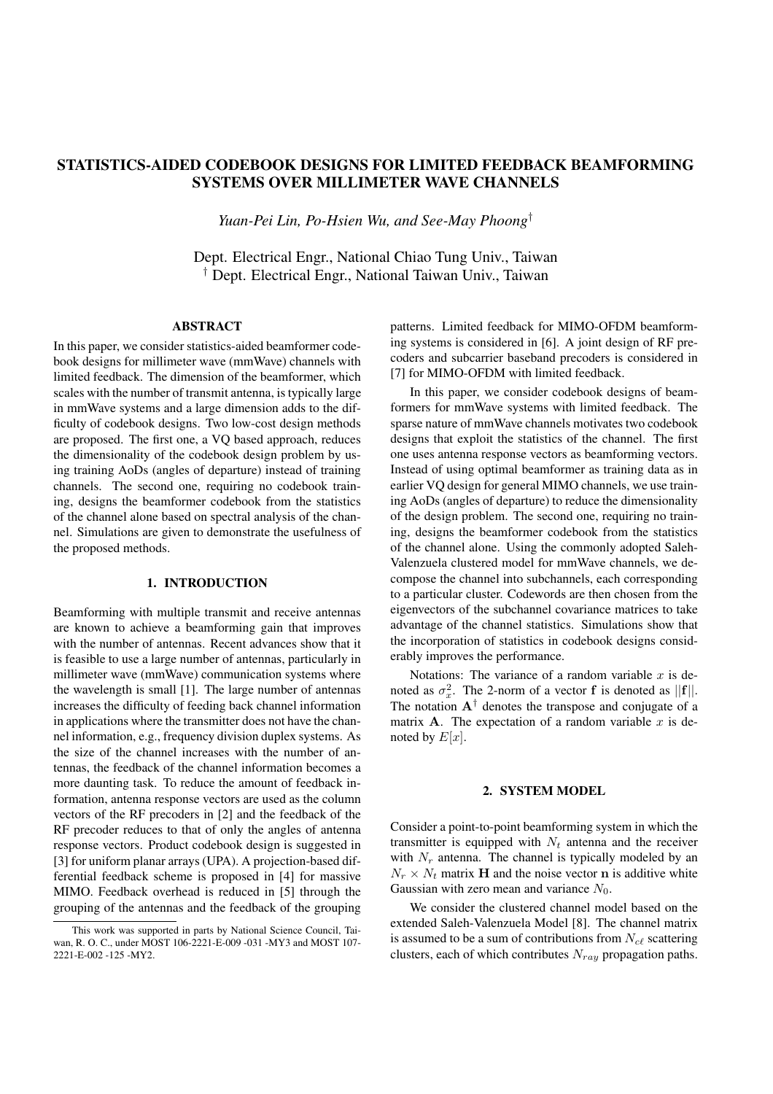# STATISTICS-AIDED CODEBOOK DESIGNS FOR LIMITED FEEDBACK BEAMFORMING SYSTEMS OVER MILLIMETER WAVE CHANNELS

*Yuan-Pei Lin, Po-Hsien Wu, and See-May Phoong†*

Dept. Electrical Engr., National Chiao Tung Univ., Taiwan *†* Dept. Electrical Engr., National Taiwan Univ., Taiwan

#### ABSTRACT

In this paper, we consider statistics-aided beamformer codebook designs for millimeter wave (mmWave) channels with limited feedback. The dimension of the beamformer, which scales with the number of transmit antenna, is typically large in mmWave systems and a large dimension adds to the difficulty of codebook designs. Two low-cost design methods are proposed. The first one, a VQ based approach, reduces the dimensionality of the codebook design problem by using training AoDs (angles of departure) instead of training channels. The second one, requiring no codebook training, designs the beamformer codebook from the statistics of the channel alone based on spectral analysis of the channel. Simulations are given to demonstrate the usefulness of the proposed methods.

#### 1. INTRODUCTION

Beamforming with multiple transmit and receive antennas are known to achieve a beamforming gain that improves with the number of antennas. Recent advances show that it is feasible to use a large number of antennas, particularly in millimeter wave (mmWave) communication systems where the wavelength is small [1]. The large number of antennas increases the difficulty of feeding back channel information in applications where the transmitter does not have the channel information, e.g., frequency division duplex systems. As the size of the channel increases with the number of antennas, the feedback of the channel information becomes a more daunting task. To reduce the amount of feedback information, antenna response vectors are used as the column vectors of the RF precoders in [2] and the feedback of the RF precoder reduces to that of only the angles of antenna response vectors. Product codebook design is suggested in [3] for uniform planar arrays (UPA). A projection-based differential feedback scheme is proposed in [4] for massive MIMO. Feedback overhead is reduced in [5] through the grouping of the antennas and the feedback of the grouping patterns. Limited feedback for MIMO-OFDM beamforming systems is considered in [6]. A joint design of RF precoders and subcarrier baseband precoders is considered in [7] for MIMO-OFDM with limited feedback.

In this paper, we consider codebook designs of beamformers for mmWave systems with limited feedback. The sparse nature of mmWave channels motivates two codebook designs that exploit the statistics of the channel. The first one uses antenna response vectors as beamforming vectors. Instead of using optimal beamformer as training data as in earlier VQ design for general MIMO channels, we use training AoDs (angles of departure) to reduce the dimensionality of the design problem. The second one, requiring no training, designs the beamformer codebook from the statistics of the channel alone. Using the commonly adopted Saleh-Valenzuela clustered model for mmWave channels, we decompose the channel into subchannels, each corresponding to a particular cluster. Codewords are then chosen from the eigenvectors of the subchannel covariance matrices to take advantage of the channel statistics. Simulations show that the incorporation of statistics in codebook designs considerably improves the performance.

Notations: The variance of a random variable *x* is denoted as  $\sigma_x^2$ . The 2-norm of a vector **f** is denoted as  $||\mathbf{f}||$ . The notation  $A^{\dagger}$  denotes the transpose and conjugate of a matrix **A**. The expectation of a random variable  $x$  is denoted by  $E[x]$ .

## 2. SYSTEM MODEL

Consider a point-to-point beamforming system in which the transmitter is equipped with  $N_t$  antenna and the receiver with  $N_r$  antenna. The channel is typically modeled by an  $N_r \times N_t$  matrix **H** and the noise vector **n** is additive white Gaussian with zero mean and variance  $N_0$ .

We consider the clustered channel model based on the extended Saleh-Valenzuela Model [8]. The channel matrix is assumed to be a sum of contributions from  $N_{c\ell}$  scattering clusters, each of which contributes *Nray* propagation paths.

This work was supported in parts by National Science Council, Taiwan, R. O. C., under MOST 106-2221-E-009 -031 -MY3 and MOST 107- 2221-E-002 -125 -MY2.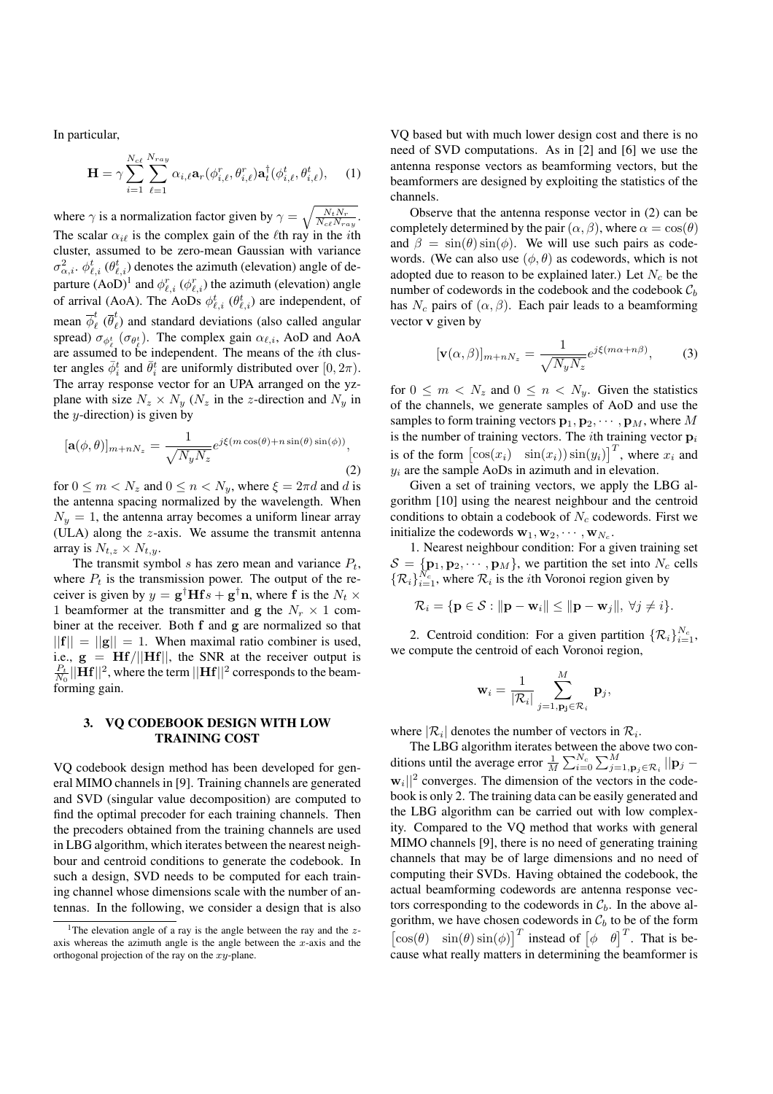In particular,

$$
\mathbf{H} = \gamma \sum_{i=1}^{N_{c\ell}} \sum_{\ell=1}^{N_{ray}} \alpha_{i,\ell} \mathbf{a}_r(\phi_{i,\ell}^r, \theta_{i,\ell}^r) \mathbf{a}_t^\dagger(\phi_{i,\ell}^t, \theta_{i,\ell}^t), \quad (1)
$$

where  $\gamma$  is a normalization factor given by  $\gamma = \sqrt{\frac{N_t N_r}{N_c e N_{ray}}}$ . The scalar  $\alpha_{i\ell}$  is the complex gain of the  $\ell$ th ray in the *i*th cluster, assumed to be zero-mean Gaussian with variance  $\sigma_{\alpha,i}^2$ .  $\phi_{\ell,i}^t$  ( $\theta_{\ell,i}^t$ ) denotes the azimuth (elevation) angle of departure  $(AoD)^{1}$  and  $\phi_{\ell,i}^{r}$  ( $\phi_{\ell,i}^{r}$ ) the azimuth (elevation) angle of arrival (AoA). The AoDs  $\phi_{\ell,i}^t$  ( $\theta_{\ell,i}^t$ ) are independent, of mean  $\overline{\phi}_{\ell}^{t}$  ( $\overline{\theta}_{\ell}^{t}$ ) and standard deviations (also called angular spread)  $\sigma_{\phi_{\ell}^t}(\sigma_{\theta_{\ell}^t})$ . The complex gain  $\alpha_{\ell,i}$ , AoD and AoA are assumed to be independent. The means of the *i*th cluster angles  $\bar{\phi}_i^t$  and  $\bar{\theta}_i^t$  are uniformly distributed over  $[0, 2\pi)$ . The array response vector for an UPA arranged on the yzplane with size  $N_z \times N_y$  ( $N_z$  in the *z*-direction and  $N_y$  in the *y*-direction) is given by

$$
[\mathbf{a}(\phi,\theta)]_{m+nN_z} = \frac{1}{\sqrt{N_y N_z}} e^{j\xi(m\cos(\theta) + n\sin(\theta)\sin(\phi))},
$$
\n(2)

for  $0 \le m < N_z$  and  $0 \le n < N_y$ , where  $\xi = 2\pi d$  and *d* is the antenna spacing normalized by the wavelength. When  $N_y = 1$ , the antenna array becomes a uniform linear array (ULA) along the *z*-axis. We assume the transmit antenna array is  $N_{t,z} \times N_{t,y}$ .

The transmit symbol *s* has zero mean and variance *Pt*, where  $P_t$  is the transmission power. The output of the receiver is given by  $y = g^{\dagger}Hfs + g^{\dagger}n$ , where f is the  $N_t \times$ 1 beamformer at the transmitter and g the  $N_r \times 1$  combiner at the receiver. Both f and g are normalized so that  $||{\bf f}|| = ||{\bf g}|| = 1$ . When maximal ratio combiner is used, i.e.,  $g = Hf/||Hf||$ , the SNR at the receiver output is  $\frac{P_t}{N_0}||\mathbf{H}\mathbf{f}||^2,$  where the term  $||\mathbf{H}\mathbf{f}||^2$  corresponds to the beamforming gain.

# 3. VQ CODEBOOK DESIGN WITH LOW TRAINING COST

VQ codebook design method has been developed for general MIMO channels in [9]. Training channels are generated and SVD (singular value decomposition) are computed to find the optimal precoder for each training channels. Then the precoders obtained from the training channels are used in LBG algorithm, which iterates between the nearest neighbour and centroid conditions to generate the codebook. In such a design, SVD needs to be computed for each training channel whose dimensions scale with the number of antennas. In the following, we consider a design that is also

VQ based but with much lower design cost and there is no need of SVD computations. As in [2] and [6] we use the antenna response vectors as beamforming vectors, but the beamformers are designed by exploiting the statistics of the channels.

Observe that the antenna response vector in (2) can be completely determined by the pair  $(\alpha, \beta)$ , where  $\alpha = \cos(\theta)$ and  $\beta = \sin(\theta) \sin(\phi)$ . We will use such pairs as codewords. (We can also use  $(\phi, \theta)$  as codewords, which is not adopted due to reason to be explained later.) Let *N<sup>c</sup>* be the number of codewords in the codebook and the codebook *C<sup>b</sup>* has  $N_c$  pairs of  $(\alpha, \beta)$ . Each pair leads to a beamforming vector v given by

$$
[\mathbf{v}(\alpha,\beta)]_{m+nN_z} = \frac{1}{\sqrt{N_y N_z}} e^{j\xi(m\alpha+n\beta)},\qquad(3)
$$

for  $0 \leq m < N_z$  and  $0 \leq n < N_y$ . Given the statistics of the channels, we generate samples of AoD and use the samples to form training vectors  $\mathbf{p}_1, \mathbf{p}_2, \cdots, \mathbf{p}_M$ , where M is the number of training vectors. The *i*th training vector p*<sup>i</sup>* is of the form  $\left[\cos(x_i) \quad \sin(x_i)\right]$   $\sin(y_i)\right]$ <sup>T</sup>, where  $x_i$  and *y<sup>i</sup>* are the sample AoDs in azimuth and in elevation.

Given a set of training vectors, we apply the LBG algorithm [10] using the nearest neighbour and the centroid conditions to obtain a codebook of *N<sup>c</sup>* codewords. First we initialize the codewords  $\mathbf{w}_1, \mathbf{w}_2, \cdots, \mathbf{w}_{N_c}$ .

1. Nearest neighbour condition: For a given training set  $S = \{ \mathbf{p}_1, \mathbf{p}_2, \cdots, \mathbf{p}_M \}$ , we partition the set into  $N_c$  cells  $\{\mathcal{R}_i\}_{i=1}^{N_c}$ , where  $\mathcal{R}_i$  is the *i*th Voronoi region given by

$$
\mathcal{R}_i = \{ \mathbf{p} \in \mathcal{S} : ||\mathbf{p} - \mathbf{w}_i|| \le ||\mathbf{p} - \mathbf{w}_j||, \ \forall j \neq i \}.
$$

2. Centroid condition: For a given partition  $\{\mathcal{R}_i\}_{i=1}^{N_c}$ , we compute the centroid of each Voronoi region,

$$
\mathbf{w}_i = \frac{1}{|\mathcal{R}_i|} \sum_{j=1,\mathbf{p_j} \in \mathcal{R}_i}^M \mathbf{p}_j,
$$

where  $|\mathcal{R}_i|$  denotes the number of vectors in  $\mathcal{R}_i$ .

The LBG algorithm iterates between the above two conditions until the average error  $\frac{1}{M} \sum_{i=0}^{N_c} \sum_{j=1, \mathbf{p}_j \in \mathcal{R}_i}^M ||\mathbf{p}_j$ <sup>w</sup>*i||*<sup>2</sup> converges. The dimension of the vectors in the codebook is only 2. The training data can be easily generated and the LBG algorithm can be carried out with low complexity. Compared to the VQ method that works with general MIMO channels [9], there is no need of generating training channels that may be of large dimensions and no need of computing their SVDs. Having obtained the codebook, the actual beamforming codewords are antenna response vectors corresponding to the codewords in  $C_b$ . In the above algorithm, we have chosen codewords in  $C_b$  to be of the form  $\begin{bmatrix} \cos(\theta) & \sin(\theta) \sin(\phi) \end{bmatrix}^T$  instead of  $\begin{bmatrix} \phi & \theta \end{bmatrix}^T$ . That is because what really matters in determining the beamformer is

<sup>&</sup>lt;sup>1</sup>The elevation angle of a ray is the angle between the ray and the  $z$ axis whereas the azimuth angle is the angle between the *x*-axis and the orthogonal projection of the ray on the *xy*-plane.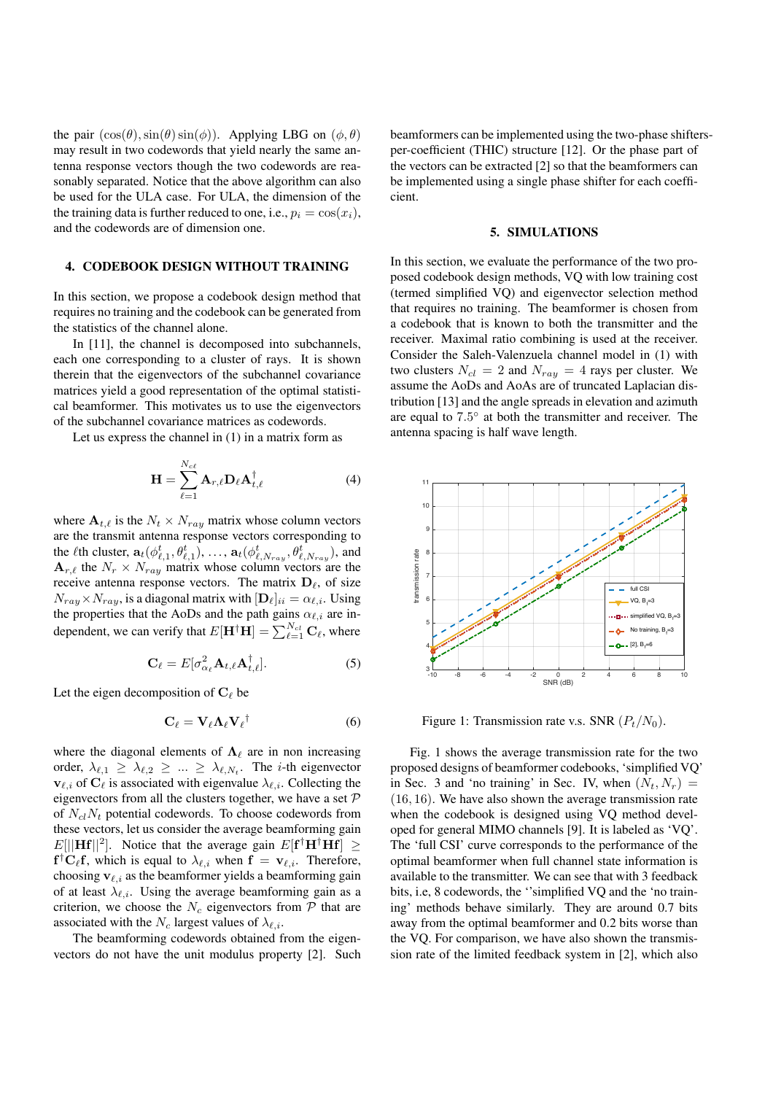the pair  $(\cos(\theta), \sin(\theta) \sin(\phi))$ . Applying LBG on  $(\phi, \theta)$ may result in two codewords that yield nearly the same antenna response vectors though the two codewords are reasonably separated. Notice that the above algorithm can also be used for the ULA case. For ULA, the dimension of the the training data is further reduced to one, i.e.,  $p_i = \cos(x_i)$ , and the codewords are of dimension one.

# 4. CODEBOOK DESIGN WITHOUT TRAINING

In this section, we propose a codebook design method that requires no training and the codebook can be generated from the statistics of the channel alone.

In [11], the channel is decomposed into subchannels, each one corresponding to a cluster of rays. It is shown therein that the eigenvectors of the subchannel covariance matrices yield a good representation of the optimal statistical beamformer. This motivates us to use the eigenvectors of the subchannel covariance matrices as codewords.

Let us express the channel in (1) in a matrix form as

$$
\mathbf{H} = \sum_{\ell=1}^{N_{c\ell}} \mathbf{A}_{r,\ell} \mathbf{D}_{\ell} \mathbf{A}_{t,\ell}^{\dagger} \tag{4}
$$

where  $A_{t,\ell}$  is the  $N_t \times N_{ray}$  matrix whose column vectors are the transmit antenna response vectors corresponding to the *l*<sup>th</sup> cluster,  $\mathbf{a}_t(\phi_{\ell,1}^t, \theta_{\ell,1}^t), \ldots, \mathbf{a}_t(\phi_{\ell,N_{ray}}^t, \theta_{\ell,N_{ray}}^t)$ , and  $A_{r,\ell}$  the  $N_r \times N_{ray}$  matrix whose column vectors are the receive antenna response vectors. The matrix  $D_{\ell}$ , of size  $N_{ray} \times N_{ray}$ , is a diagonal matrix with  $[D_{\ell}]_{ii} = \alpha_{\ell,i}$ . Using the properties that the AoDs and the path gains  $\alpha_{\ell,i}$  are independent, we can verify that  $E[\mathbf{H}^\dagger \mathbf{H}] = \sum_{\ell=1}^{N_{cl}} \mathbf{C}_{\ell}$ , where

$$
\mathbf{C}_{\ell} = E[\sigma_{\alpha_{\ell}}^2 \mathbf{A}_{t,\ell} \mathbf{A}_{t,\ell}^{\dagger}]. \tag{5}
$$

Let the eigen decomposition of  $C_\ell$  be

$$
C_{\ell} = V_{\ell} \Lambda_{\ell} V_{\ell}^{\dagger} \tag{6}
$$

where the diagonal elements of  $\Lambda_{\ell}$  are in non increasing order,  $\lambda_{\ell,1} \geq \lambda_{\ell,2} \geq ... \geq \lambda_{\ell,N_t}$ . The *i*-th eigenvector  $v_{\ell,i}$  of  $C_{\ell}$  is associated with eigenvalue  $\lambda_{\ell,i}$ . Collecting the eigenvectors from all the clusters together, we have a set *P* of *NclN<sup>t</sup>* potential codewords. To choose codewords from these vectors, let us consider the average beamforming gain  $E[||\mathbf{Hf}||^2]$ . Notice that the average gain  $E[\mathbf{f}^\dagger \mathbf{H}^\dagger \mathbf{Hf}] \geq$  $f^{\dagger}C_{\ell}f$ , which is equal to  $\lambda_{\ell,i}$  when  $f = v_{\ell,i}$ . Therefore, choosing  $v_{\ell,i}$  as the beamformer yields a beamforming gain of at least  $\lambda_{\ell,i}$ . Using the average beamforming gain as a criterion, we choose the  $N_c$  eigenvectors from  $P$  that are associated with the *N<sub>c</sub>* largest values of  $\lambda_{\ell,i}$ .

The beamforming codewords obtained from the eigenvectors do not have the unit modulus property [2]. Such beamformers can be implemented using the two-phase shiftersper-coefficient (THIC) structure [12]. Or the phase part of the vectors can be extracted [2] so that the beamformers can be implemented using a single phase shifter for each coefficient.

#### 5. SIMULATIONS

In this section, we evaluate the performance of the two proposed codebook design methods, VQ with low training cost (termed simplified VQ) and eigenvector selection method that requires no training. The beamformer is chosen from a codebook that is known to both the transmitter and the receiver. Maximal ratio combining is used at the receiver. Consider the Saleh-Valenzuela channel model in (1) with two clusters  $N_{cl} = 2$  and  $N_{raw} = 4$  rays per cluster. We assume the AoDs and AoAs are of truncated Laplacian distribution [13] and the angle spreads in elevation and azimuth are equal to 7.5° at both the transmitter and receiver. The antenna spacing is half wave length.



Figure 1: Transmission rate v.s. SNR  $(P_t/N_0)$ .

Fig. 1 shows the average transmission rate for the two proposed designs of beamformer codebooks, 'simplified VQ' in Sec. 3 and 'no training' in Sec. IV, when  $(N_t, N_r)$  = (16*,* 16). We have also shown the average transmission rate when the codebook is designed using VQ method developed for general MIMO channels [9]. It is labeled as 'VQ'. The 'full CSI' curve corresponds to the performance of the optimal beamformer when full channel state information is available to the transmitter. We can see that with 3 feedback bits, i.e, 8 codewords, the ''simplified VQ and the 'no training' methods behave similarly. They are around 0.7 bits away from the optimal beamformer and 0.2 bits worse than the VQ. For comparison, we have also shown the transmission rate of the limited feedback system in [2], which also